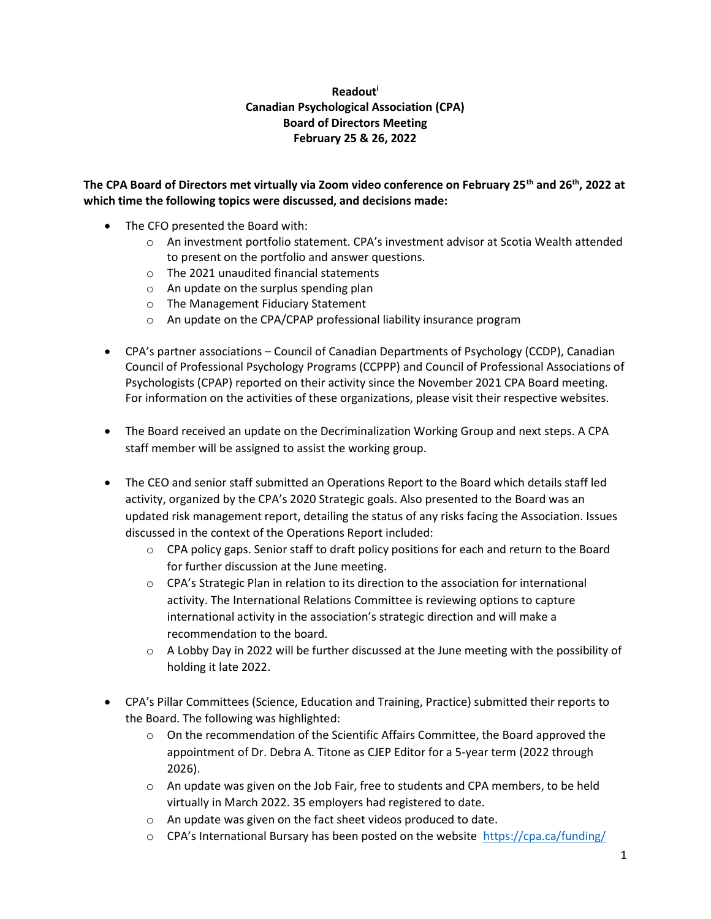## Readout<sup>i</sup> Canadian Psychological Association (CPA) Board of Directors Meeting February 25 & 26, 2022

The CPA Board of Directors met virtually via Zoom video conference on February 25<sup>th</sup> and 26<sup>th</sup>, 2022 at which time the following topics were discussed, and decisions made:

- The CFO presented the Board with:
	- o An investment portfolio statement. CPA's investment advisor at Scotia Wealth attended to present on the portfolio and answer questions.
	- o The 2021 unaudited financial statements
	- o An update on the surplus spending plan
	- o The Management Fiduciary Statement
	- o An update on the CPA/CPAP professional liability insurance program
- CPA's partner associations Council of Canadian Departments of Psychology (CCDP), Canadian Council of Professional Psychology Programs (CCPPP) and Council of Professional Associations of Psychologists (CPAP) reported on their activity since the November 2021 CPA Board meeting. For information on the activities of these organizations, please visit their respective websites.
- The Board received an update on the Decriminalization Working Group and next steps. A CPA staff member will be assigned to assist the working group.
- The CEO and senior staff submitted an Operations Report to the Board which details staff led activity, organized by the CPA's 2020 Strategic goals. Also presented to the Board was an updated risk management report, detailing the status of any risks facing the Association. Issues discussed in the context of the Operations Report included:
	- $\circ$  CPA policy gaps. Senior staff to draft policy positions for each and return to the Board for further discussion at the June meeting.
	- $\circ$  CPA's Strategic Plan in relation to its direction to the association for international activity. The International Relations Committee is reviewing options to capture international activity in the association's strategic direction and will make a recommendation to the board.
	- $\circ$  A Lobby Day in 2022 will be further discussed at the June meeting with the possibility of holding it late 2022.
- CPA's Pillar Committees (Science, Education and Training, Practice) submitted their reports to the Board. The following was highlighted:
	- $\circ$  On the recommendation of the Scientific Affairs Committee, the Board approved the appointment of Dr. Debra A. Titone as CJEP Editor for a 5-year term (2022 through 2026).
	- $\circ$  An update was given on the Job Fair, free to students and CPA members, to be held virtually in March 2022. 35 employers had registered to date.
	- o An update was given on the fact sheet videos produced to date.
	- $\circ$  CPA's International Bursary has been posted on the website https://cpa.ca/funding/